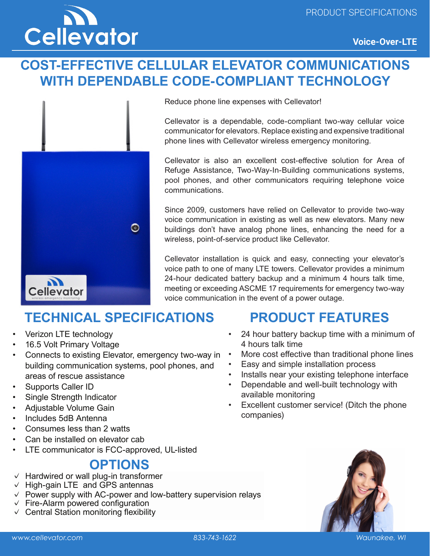

## **COST-EFFECTIVE CELLULAR ELEVATOR COMMUNICATIONS WITH DEPENDABLE CODE-COMPLIANT TECHNOLOGY**



Reduce phone line expenses with Cellevator!

Cellevator is a dependable, code-compliant two-way cellular voice communicator for elevators. Replace existing and expensive traditional phone lines with Cellevator wireless emergency monitoring.

Cellevator is also an excellent cost-effective solution for Area of Refuge Assistance, Two-Way-In-Building communications systems, pool phones, and other communicators requiring telephone voice communications.

Since 2009, customers have relied on Cellevator to provide two-way voice communication in existing as well as new elevators. Many new buildings don't have analog phone lines, enhancing the need for a wireless, point-of-service product like Cellevator.

Cellevator installation is quick and easy, connecting your elevator's voice path to one of many LTE towers. Cellevator provides a minimum 24-hour dedicated battery backup and a minimum 4 hours talk time, meeting or exceeding ASCME 17 requirements for emergency two-way voice communication in the event of a power outage.

## **TECHNICAL SPECIFICATIONS**

- Verizon LTE technology
- 16.5 Volt Primary Voltage
- Connects to existing Elevator, emergency two-way in building communication systems, pool phones, and areas of rescue assistance
- Supports Caller ID
- Single Strength Indicator
- Adjustable Volume Gain
- Includes 5dB Antenna
- Consumes less than 2 watts
- Can be installed on elevator cab
- LTE communicator is FCC-approved, UL-listed

#### **OPTIONS**

- ✓ Hardwired or wall plug-in transformer
- $\vee$  High-gain LTE and GPS antennas
- ✓ Power supply with AC-power and low-battery supervision relays
- ✓ Fire-Alarm powered configuration
- $\vee$  Central Station monitoring flexibility

# **PRODUCT FEATURES**

- 24 hour battery backup time with a minimum of 4 hours talk time
- More cost effective than traditional phone lines
- Easy and simple installation process
- Installs near your existing telephone interface
- Dependable and well-built technology with available monitoring
- Excellent customer service! (Ditch the phone companies)